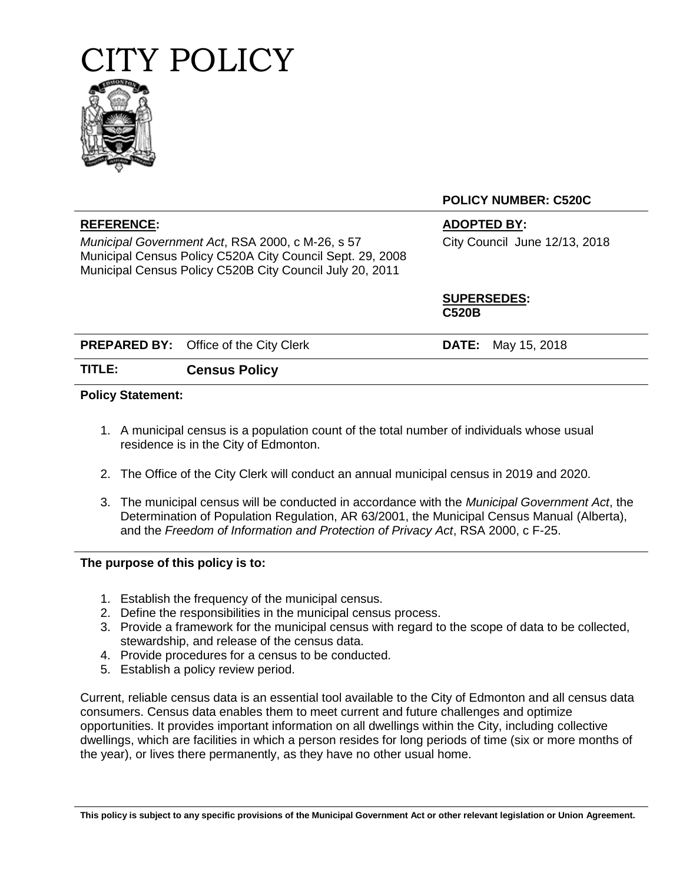



*Municipal Government Act*, RSA 2000, c M-26, s 57 Municipal Census Policy C520A City Council Sept. 29, 2008 Municipal Census Policy C520B City Council July 20, 2011

**POLICY NUMBER: C520C**

# **REFERENCE: ADOPTED BY:**

City Council June 12/13, 2018

**SUPERSEDES: C520B**

|        | <b>PREPARED BY:</b> Office of the City Clerk | <b>DATE:</b> May 15, 2018 |  |
|--------|----------------------------------------------|---------------------------|--|
| TITLE: | <b>Census Policy</b>                         |                           |  |

### **Policy Statement:**

- 1. A municipal census is a population count of the total number of individuals whose usual residence is in the City of Edmonton.
- 2. The Office of the City Clerk will conduct an annual municipal census in 2019 and 2020.
- 3. The municipal census will be conducted in accordance with the *Municipal Government Act*, the Determination of Population Regulation, AR 63/2001, the Municipal Census Manual (Alberta), and the *Freedom of Information and Protection of Privacy Act*, RSA 2000, c F-25.

### **The purpose of this policy is to:**

- 1. Establish the frequency of the municipal census.
- 2. Define the responsibilities in the municipal census process.
- 3. Provide a framework for the municipal census with regard to the scope of data to be collected, stewardship, and release of the census data.
- 4. Provide procedures for a census to be conducted.
- 5. Establish a policy review period.

Current, reliable census data is an essential tool available to the City of Edmonton and all census data consumers. Census data enables them to meet current and future challenges and optimize opportunities. It provides important information on all dwellings within the City, including collective dwellings, which are facilities in which a person resides for long periods of time (six or more months of the year), or lives there permanently, as they have no other usual home.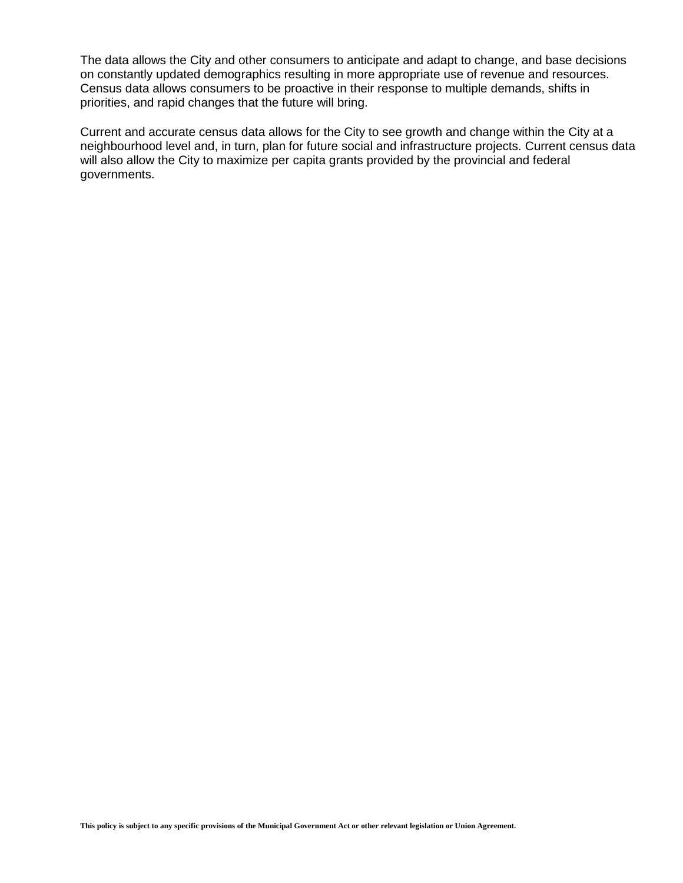The data allows the City and other consumers to anticipate and adapt to change, and base decisions on constantly updated demographics resulting in more appropriate use of revenue and resources. Census data allows consumers to be proactive in their response to multiple demands, shifts in priorities, and rapid changes that the future will bring.

Current and accurate census data allows for the City to see growth and change within the City at a neighbourhood level and, in turn, plan for future social and infrastructure projects. Current census data will also allow the City to maximize per capita grants provided by the provincial and federal governments.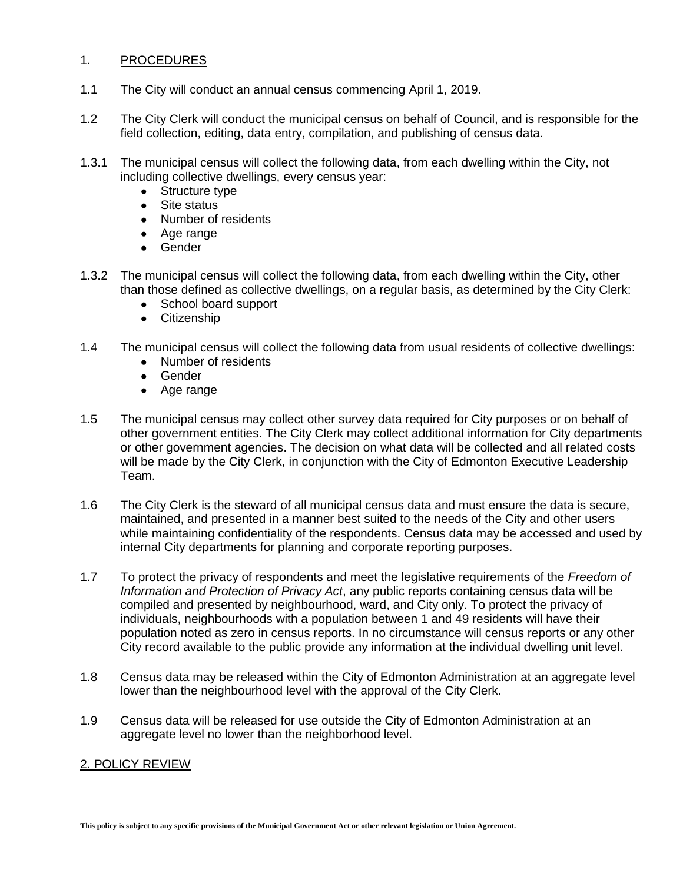# 1. PROCEDURES

- 1.1 The City will conduct an annual census commencing April 1, 2019.
- 1.2 The City Clerk will conduct the municipal census on behalf of Council, and is responsible for the field collection, editing, data entry, compilation, and publishing of census data.
- 1.3.1 The municipal census will collect the following data, from each dwelling within the City, not including collective dwellings, every census year:
	- Structure type
	- Site status
	- Number of residents
	- Age range
	- Gender
- 1.3.2 The municipal census will collect the following data, from each dwelling within the City, other than those defined as collective dwellings, on a regular basis, as determined by the City Clerk:
	- School board support
	- Citizenship
- 1.4 The municipal census will collect the following data from usual residents of collective dwellings:
	- Number of residents
	- Gender
	- Age range
- 1.5 The municipal census may collect other survey data required for City purposes or on behalf of other government entities. The City Clerk may collect additional information for City departments or other government agencies. The decision on what data will be collected and all related costs will be made by the City Clerk, in conjunction with the City of Edmonton Executive Leadership Team.
- 1.6 The City Clerk is the steward of all municipal census data and must ensure the data is secure, maintained, and presented in a manner best suited to the needs of the City and other users while maintaining confidentiality of the respondents. Census data may be accessed and used by internal City departments for planning and corporate reporting purposes.
- 1.7 To protect the privacy of respondents and meet the legislative requirements of the *Freedom of Information and Protection of Privacy Act*, any public reports containing census data will be compiled and presented by neighbourhood, ward, and City only. To protect the privacy of individuals, neighbourhoods with a population between 1 and 49 residents will have their population noted as zero in census reports. In no circumstance will census reports or any other City record available to the public provide any information at the individual dwelling unit level.
- 1.8 Census data may be released within the City of Edmonton Administration at an aggregate level lower than the neighbourhood level with the approval of the City Clerk.
- 1.9 Census data will be released for use outside the City of Edmonton Administration at an aggregate level no lower than the neighborhood level.

### 2. POLICY REVIEW